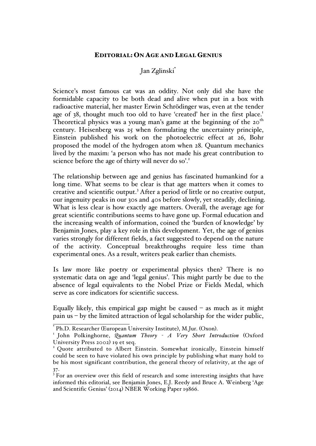## EDITORIAL: ON AGE AND LEGAL GENIUS

## Jan Zglinski\*

Science's most famous cat was an oddity. Not only did she have the formidable capacity to be both dead and alive when put in a box with radioactive material, her master Erwin Schrödinger was, even at the tender age of 38, thought much too old to have 'created' her in the first place.<sup>1</sup> Theoretical physics was a young man's game at the beginning of the 20<sup>th</sup> century. Heisenberg was 25 when formulating the uncertainty principle, Einstein published his work on the photoelectric effect at 26, Bohr proposed the model of the hydrogen atom when 28. Quantum mechanics lived by the maxim: 'a person who has not made his great contribution to science before the age of thirty will never do so'.<sup>2</sup>

The relationship between age and genius has fascinated humankind for a long time. What seems to be clear is that age matters when it comes to creative and scientific output.<sup>3</sup> After a period of little or no creative output, our ingenuity peaks in our 30s and 40s before slowly, yet steadily, declining. What is less clear is how exactly age matters. Overall, the average age for great scientific contributions seems to have gone up. Formal education and the increasing wealth of information, coined the 'burden of knowledge' by Benjamin Jones, play a key role in this development. Yet, the age of genius varies strongly for different fields, a fact suggested to depend on the nature of the activity. Conceptual breakthroughs require less time than experimental ones. As a result, writers peak earlier than chemists.

Is law more like poetry or experimental physics then? There is no systematic data on age and 'legal genius'. This might partly be due to the absence of legal equivalents to the Nobel Prize or Fields Medal, which serve as core indicators for scientific success.

Equally likely, this empirical gap might be caused  $-$  as much as it might pain us – by the limited attraction of legal scholarship for the wider public,

<sup>\*</sup> Ph.D. Researcher (European University Institute), M.Jur. (Oxon).<br><sup>1</sup> John Polkinghorne, *Quantum Theory <sup>-</sup> A Very Short Introduction* (Oxford University Press 2002) 19 et seq.<br><sup>2</sup> Quote attributed to Albert Einstein. Somewhat ironically, Einstein himself

could be seen to have violated his own principle by publishing what many hold to be his most significant contribution, the general theory of relativity, at the age of  $37.$ 

<sup>&</sup>lt;sup>3</sup> For an overview over this field of research and some interesting insights that have informed this editorial, see Benjamin Jones, E.J. Reedy and Bruce A. Weinberg 'Age and Scientific Genius' (2014) NBER Working Paper 19866.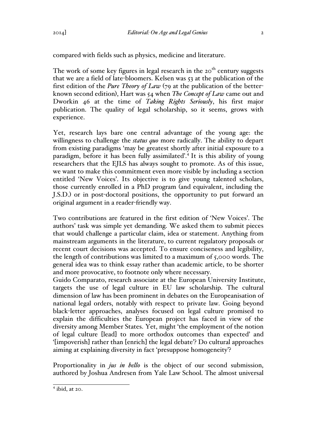compared with fields such as physics, medicine and literature.

The work of some key figures in legal research in the  $20<sup>th</sup>$  century suggests that we are a field of late-bloomers. Kelsen was 53 at the publication of the first edition of the *Pure Theory of Law* (79 at the publication of the betterknown second edition), Hart was 54 when *The Concept of Law* came out and Dworkin 46 at the time of *Taking Rights Seriously*, his first major publication. The quality of legal scholarship, so it seems, grows with experience.

Yet, research lays bare one central advantage of the young age: the willingness to challenge the *status quo* more radically. The ability to depart from existing paradigms 'may be greatest shortly after initial exposure to a paradigm, before it has been fully assimilated'.4 It is this ability of young researchers that the EJLS has always sought to promote. As of this issue, we want to make this commitment even more visible by including a section entitled 'New Voices'. Its objective is to give young talented scholars, those currently enrolled in a PhD program (and equivalent, including the J.S.D.) or in post-doctoral positions, the opportunity to put forward an original argument in a reader-friendly way.

Two contributions are featured in the first edition of 'New Voices'. The authors' task was simple yet demanding. We asked them to submit pieces that would challenge a particular claim, idea or statement. Anything from mainstream arguments in the literature, to current regulatory proposals or recent court decisions was accepted. To ensure conciseness and legibility, the length of contributions was limited to a maximum of 5,000 words. The general idea was to think essay rather than academic article, to be shorter and more provocative, to footnote only where necessary.

Guido Comparato, research associate at the European University Institute, targets the use of legal culture in EU law scholarship. The cultural dimension of law has been prominent in debates on the Europeanisation of national legal orders, notably with respect to private law. Going beyond black-letter approaches, analyses focused on legal culture promised to explain the difficulties the European project has faced in view of the diversity among Member States. Yet, might 'the employment of the notion of legal culture [lead] to more orthodox outcomes than expected' and '[impoverish] rather than [enrich] the legal debate'? Do cultural approaches aiming at explaining diversity in fact 'presuppose homogeneity'?

Proportionality in *jus in bello* is the object of our second submission, authored by Joshua Andresen from Yale Law School. The almost universal

 $<sup>4</sup>$  ibid, at 20.</sup>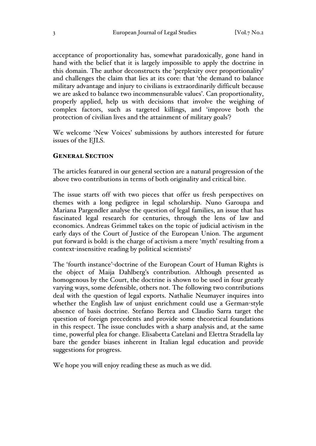acceptance of proportionality has, somewhat paradoxically, gone hand in hand with the belief that it is largely impossible to apply the doctrine in this domain. The author deconstructs the 'perplexity over proportionality' and challenges the claim that lies at its core: that 'the demand to balance military advantage and injury to civilians is extraordinarily difficult because we are asked to balance two incommensurable values'. Can proportionality, properly applied, help us with decisions that involve the weighing of complex factors, such as targeted killings, and 'improve both the protection of civilian lives and the attainment of military goals'?

We welcome 'New Voices' submissions by authors interested for future issues of the EJLS.

## GENERAL SECTION

The articles featured in our general section are a natural progression of the above two contributions in terms of both originality and critical bite.

The issue starts off with two pieces that offer us fresh perspectives on themes with a long pedigree in legal scholarship. Nuno Garoupa and Mariana Pargendler analyse the question of legal families, an issue that has fascinated legal research for centuries, through the lens of law and economics. Andreas Grimmel takes on the topic of judicial activism in the early days of the Court of Justice of the European Union. The argument put forward is bold: is the charge of activism a mere 'myth' resulting from a context-insensitive reading by political scientists?

The 'fourth instance'-doctrine of the European Court of Human Rights is the object of Maija Dahlberg's contribution. Although presented as homogenous by the Court, the doctrine is shown to be used in four greatly varying ways, some defensible, others not. The following two contributions deal with the question of legal exports. Nathalie Neumayer inquires into whether the English law of unjust enrichment could use a German-style absence of basis doctrine. Stefano Bertea and Claudio Sarra target the question of foreign precedents and provide some theoretical foundations in this respect. The issue concludes with a sharp analysis and, at the same time, powerful plea for change. Elisabetta Catelani and Elettra Stradella lay bare the gender biases inherent in Italian legal education and provide suggestions for progress.

We hope you will enjoy reading these as much as we did.